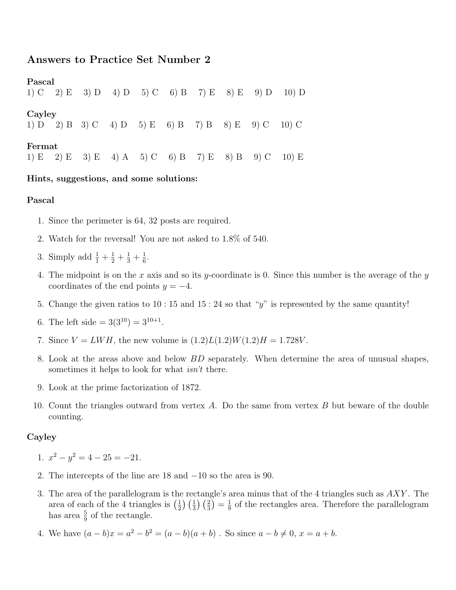# Answers to Practice Set Number 2

Pascal 1) C 2) E 3) D 4) D 5) C 6) B 7) E 8) E 9) D 10) D Cayley 1) D 2) B 3) C 4) D 5) E 6) B 7) B 8) E 9) C 10) C Fermat 1) E 2) E 3) E 4) A 5) C 6) B 7) E 8) B 9) C 10) E

## Hints, suggestions, and some solutions:

#### Pascal

- 1. Since the perimeter is 64, 32 posts are required.
- 2. Watch for the reversal! You are not asked to 1.8% of 540.
- 3. Simply add  $\frac{1}{1} + \frac{1}{2} + \frac{1}{3} + \frac{1}{6}$  $\frac{1}{6}$ .
- 4. The midpoint is on the x axis and so its y-coordinate is 0. Since this number is the average of the  $y$ coordinates of the end points  $y = -4$ .
- 5. Change the given ratios to 10 : 15 and 15 : 24 so that "y" is represented by the same quantity!
- 6. The left side  $=3(3^{10})=3^{10+1}$ .
- 7. Since  $V = LWH$ , the new volume is  $(1.2)L(1.2)W(1.2)H = 1.728V$ .
- 8. Look at the areas above and below BD separately. When determine the area of unusual shapes, sometimes it helps to look for what *isn't* there.
- 9. Look at the prime factorization of 1872.
- 10. Count the triangles outward from vertex  $A$ . Do the same from vertex  $B$  but beware of the double counting.

## Cayley

- 1.  $x^2 y^2 = 4 25 = -21$ .
- 2. The intercepts of the line are 18 and −10 so the area is 90.
- 3. The area of the parallelogram is the rectangle's area minus that of the 4 triangles such as AXY . The area of each of the 4 triangles is  $\left(\frac{1}{2}\right)$  $\frac{1}{2}$  $\left(\frac{1}{3}\right)\left(\frac{2}{3}\right) = \frac{1}{9}$  $\frac{1}{9}$  of the rectangles area. Therefore the parallelogram has area  $\frac{5}{9}$  of the rectangle.
- 4. We have  $(a b)x = a^2 b^2 = (a b)(a + b)$ . So since  $a b \neq 0$ ,  $x = a + b$ .